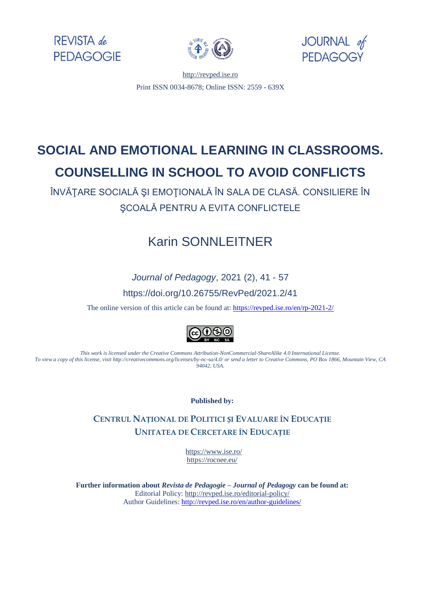





[http://revped.ise.ro](http://revped.ise.ro/) Print ISSN 0034-8678; Online ISSN: 2559 - 639X

# **SOCIAL AND EMOTIONAL LEARNING IN CLASSROOMS. COUNSELLING IN SCHOOL TO AVOID CONFLICTS**

ÎNVĂŢARE SOCIALĂ ŞI EMOŢIONALĂ ÎN SALA DE CLASĂ. CONSILIERE ÎN ŞCOALĂ PENTRU A EVITA CONFLICTELE

## Karin SONNLEITNER

*Journal of Pedagogy*, 2021 (2), 41 - 57 https://doi.org/10.26755/RevPed/2021.2/41

The online version of this article can be found at[: https://revped.ise.ro/en/rp-2021-2/](https://revped.ise.ro/en/rp-2021-2/)



*This work is licensed under the Creative Commons Attribution-NonCommercial-ShareAlike 4.0 International License. To view a copy of this license, visit http://creativecommons.org/licenses/by-nc-sa/4.0/ or send a letter to Creative Commons, PO Box 1866, Mountain View, CA 94042, USA.* 

**Published by:** 

**CENTRUL NAȚIONAL DE POLITICI ȘI EVALUARE ÎN EDUCAȚIE UNITATEA DE C[ERCETARE Î](http://www.ise.ro/)N EDUCAȚIE**

> https://www.ise.ro/ https://rocnee.eu/

**Further information about** *Revist[a de Pedagogie – Journal of Pedagogy](http://revped.ise.ro/the-writer-guide-2/)* **can be found at:**  Editorial Policy: http://revped.ise.ro/editorial-policy/ Author Guidelines: http://revped.ise.ro/en/author-guidelines/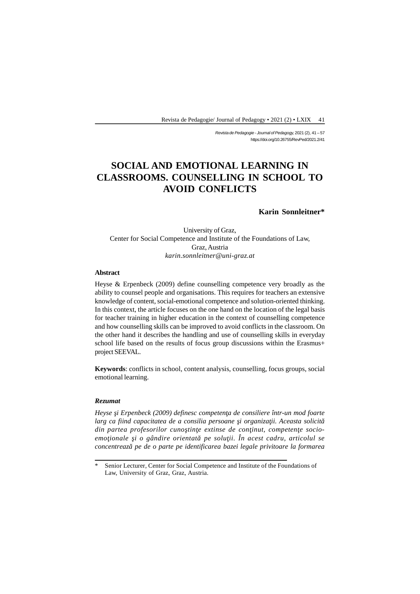*Revista de Pedagogie - Journal of Pedagogy,* 2021 (2), 41 – 57 https://doi.org/10.26755/RevPed/2021.2/41

## **SOCIAL AND EMOTIONAL LEARNING IN CLASSROOMS. COUNSELLING IN SCHOOL TO AVOID CONFLICTS**

**Karin Sonnleitner\***

University of Graz, Center for Social Competence and Institute of the Foundations of Law, Graz, Austria *karin.sonnleitner@uni-graz.at*

#### **Abstract**

Heyse & Erpenbeck (2009) define counselling competence very broadly as the ability to counsel people and organisations. This requires for teachers an extensive knowledge of content, social-emotional competence and solution-oriented thinking. In this context, the article focuses on the one hand on the location of the legal basis for teacher training in higher education in the context of counselling competence and how counselling skills can be improved to avoid conflicts in the classroom. On the other hand it describes the handling and use of counselling skills in everyday school life based on the results of focus group discussions within the Erasmus+ project SEEVAL.

**Keywords**: conflicts in school, content analysis, counselling, focus groups, social emotional learning.

#### *Rezumat*

*Heyse i Erpenbeck (2009) definesc competen a de consiliere într-un mod foarte* larg ca fiind capacitatea de a consilia persoane i organiza ii. Aceasta solicit din partea profesorilor cuno tin e extinse de con inut, competen e socioemo *ionale i o gândire orientat* pe solu *ii. În acest cadru, articolul se concentrează pe de o parte pe identificarea bazei legale privitoare la formarea*

Senior Lecturer, Center for Social Competence and Institute of the Foundations of Law, University of Graz, Graz, Austria.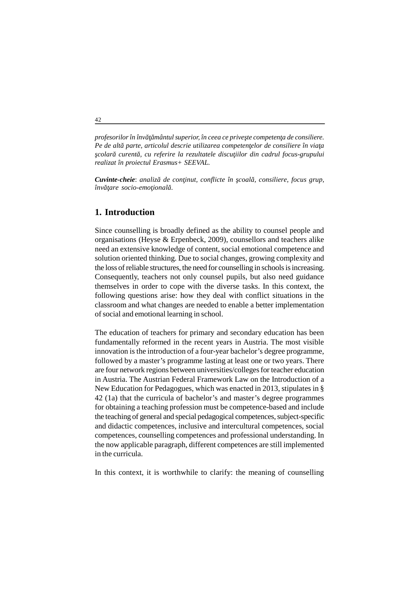*profesorilor în înv mântul superior, în ceea ce prive te competen a de consiliere.* Pe de alt parte, articolul descrie utilizarea competen elor de consiliere în via a *colar curent*, cu referire la rezultatele discu iilor din cadrul focus-grupului *realizat în proiectul Erasmus+ SEEVAL.*

*Cuvinte-cheie: analiz* de con inut, conflicte în coal, consiliere, focus grup, *înv* are socio-emo *ional* 

### **1. Introduction**

Since counselling is broadly defined as the ability to counsel people and organisations (Heyse & Erpenbeck, 2009), counsellors and teachers alike need an extensive knowledge of content, social emotional competence and solution oriented thinking. Due to social changes, growing complexity and the loss of reliable structures, the need for counselling in schools is increasing. Consequently, teachers not only counsel pupils, but also need guidance themselves in order to cope with the diverse tasks. In this context, the following questions arise: how they deal with conflict situations in the classroom and what changes are needed to enable a better implementation of social and emotional learning in school.

The education of teachers for primary and secondary education has been fundamentally reformed in the recent years in Austria. The most visible innovation is the introduction of a four-year bachelor's degree programme, followed by a master's programme lasting at least one or two years. There are four network regions between universities/colleges for teacher education in Austria. The Austrian Federal Framework Law on the Introduction of a New Education for Pedagogues, which was enacted in 2013, stipulates in § 42 (1a) that the curricula of bachelor's and master's degree programmes for obtaining a teaching profession must be competence-based and include the teaching of general and special pedagogical competences, subject-specific and didactic competences, inclusive and intercultural competences, social competences, counselling competences and professional understanding. In the now applicable paragraph, different competences are still implemented in the curricula.

In this context, it is worthwhile to clarify: the meaning of counselling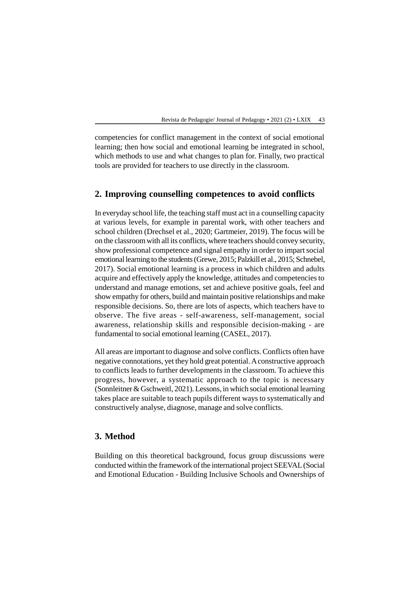competencies for conflict management in the context of social emotional learning; then how social and emotional learning be integrated in school, which methods to use and what changes to plan for. Finally, two practical tools are provided for teachers to use directly in the classroom.

### **2. Improving counselling competences to avoid conflicts**

In everyday school life, the teaching staff must act in a counselling capacity at various levels, for example in parental work, with other teachers and school children (Drechsel et al., 2020; Gartmeier, 2019). The focus will be on the classroom with all its conflicts, where teachers should convey security, show professional competence and signal empathy in order to impart social emotional learning to the students (Grewe, 2015; Palzkill et al., 2015; Schnebel, 2017). Social emotional learning is a process in which children and adults acquire and effectively apply the knowledge, attitudes and competencies to understand and manage emotions, set and achieve positive goals, feel and show empathy for others, build and maintain positive relationships and make responsible decisions. So, there are lots of aspects, which teachers have to observe. The five areas - self-awareness, self-management, social awareness, relationship skills and responsible decision-making - are fundamental to social emotional learning (CASEL, 2017).

All areas are important to diagnose and solve conflicts. Conflicts often have negative connotations, yet they hold great potential. A constructive approach to conflicts leads to further developments in the classroom. To achieve this progress, however, a systematic approach to the topic is necessary (Sonnleitner & Gschweitl, 2021). Lessons, in which social emotional learning takes place are suitable to teach pupils different ways to systematically and constructively analyse, diagnose, manage and solve conflicts.

### **3. Method**

Building on this theoretical background, focus group discussions were conducted within the framework of the international project SEEVAL (Social and Emotional Education - Building Inclusive Schools and Ownerships of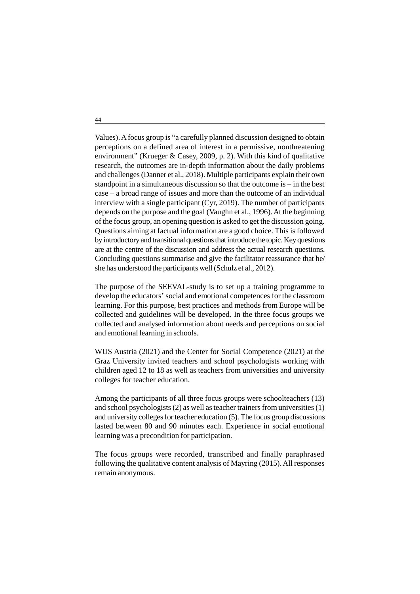Values). A focus group is "a carefully planned discussion designed to obtain perceptions on a defined area of interest in a permissive, nonthreatening environment" (Krueger & Casey, 2009, p. 2). With this kind of qualitative research, the outcomes are in-depth information about the daily problems and challenges (Danner et al., 2018). Multiple participants explain their own standpoint in a simultaneous discussion so that the outcome is – in the best case – a broad range of issues and more than the outcome of an individual interview with a single participant (Cyr, 2019). The number of participants depends on the purpose and the goal (Vaughn et al., 1996). At the beginning of the focus group, an opening question is asked to get the discussion going. Questions aiming at factual information are a good choice. This is followed by introductory and transitional questions that introduce the topic. Key questions are at the centre of the discussion and address the actual research questions. Concluding questions summarise and give the facilitator reassurance that he/ she has understood the participants well (Schulz et al., 2012).

The purpose of the SEEVAL-study is to set up a training programme to develop the educators' social and emotional competences for the classroom learning. For this purpose, best practices and methods from Europe will be collected and guidelines will be developed. In the three focus groups we collected and analysed information about needs and perceptions on social and emotional learning in schools.

WUS Austria (2021) and the Center for Social Competence (2021) at the Graz University invited teachers and school psychologists working with children aged 12 to 18 as well as teachers from universities and university colleges for teacher education.

Among the participants of all three focus groups were schoolteachers (13) and school psychologists (2) as well as teacher trainers from universities (1) and university colleges for teacher education (5). The focus group discussions lasted between 80 and 90 minutes each. Experience in social emotional learning was a precondition for participation.

The focus groups were recorded, transcribed and finally paraphrased following the qualitative content analysis of Mayring (2015). All responses remain anonymous.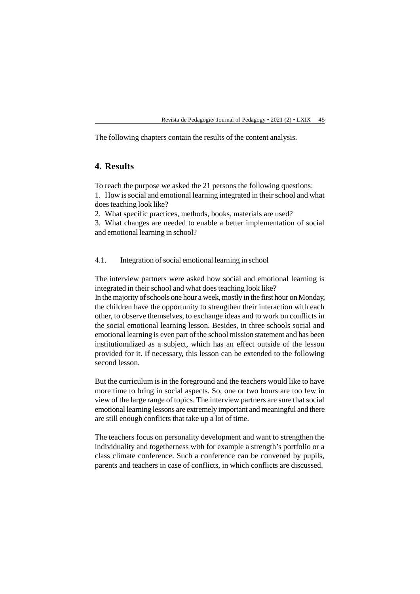The following chapters contain the results of the content analysis.

## **4. Results**

To reach the purpose we asked the 21 persons the following questions:

1. How is social and emotional learning integrated in their school and what does teaching look like?

2. What specific practices, methods, books, materials are used?

3. What changes are needed to enable a better implementation of social and emotional learning in school?

4.1. Integration of social emotional learning in school

The interview partners were asked how social and emotional learning is integrated in their school and what does teaching look like?

In the majority of schools one hour a week, mostly in the first hour on Monday, the children have the opportunity to strengthen their interaction with each other, to observe themselves, to exchange ideas and to work on conflicts in the social emotional learning lesson. Besides, in three schools social and emotional learning is even part of the school mission statement and has been institutionalized as a subject, which has an effect outside of the lesson provided for it. If necessary, this lesson can be extended to the following second lesson.

But the curriculum is in the foreground and the teachers would like to have more time to bring in social aspects. So, one or two hours are too few in view of the large range of topics. The interview partners are sure that social emotional learning lessons are extremely important and meaningful and there are still enough conflicts that take up a lot of time.

The teachers focus on personality development and want to strengthen the individuality and togetherness with for example a strength's portfolio or a class climate conference. Such a conference can be convened by pupils, parents and teachers in case of conflicts, in which conflicts are discussed.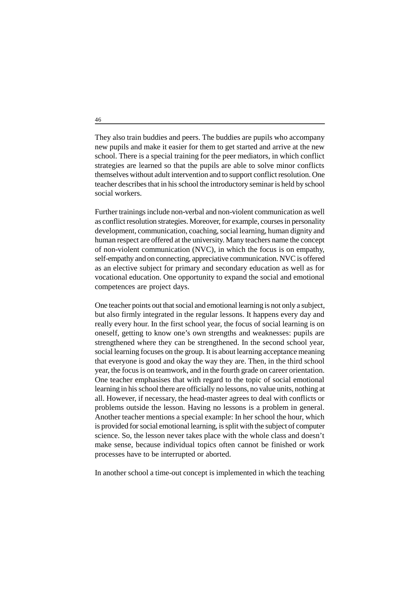They also train buddies and peers. The buddies are pupils who accompany new pupils and make it easier for them to get started and arrive at the new school. There is a special training for the peer mediators, in which conflict strategies are learned so that the pupils are able to solve minor conflicts themselves without adult intervention and to support conflict resolution. One teacher describes that in his school the introductory seminar is held by school social workers.

Further trainings include non-verbal and non-violent communication as well as conflict resolution strategies. Moreover, for example, courses in personality development, communication, coaching, social learning, human dignity and human respect are offered at the university. Many teachers name the concept of non-violent communication (NVC), in which the focus is on empathy, self-empathy and on connecting, appreciative communication. NVC is offered as an elective subject for primary and secondary education as well as for vocational education. One opportunity to expand the social and emotional competences are project days.

One teacher points out that social and emotional learning is not only a subject, but also firmly integrated in the regular lessons. It happens every day and really every hour. In the first school year, the focus of social learning is on oneself, getting to know one's own strengths and weaknesses: pupils are strengthened where they can be strengthened. In the second school year, social learning focuses on the group. It is about learning acceptance meaning that everyone is good and okay the way they are. Then, in the third school year, the focus is on teamwork, and in the fourth grade on career orientation. One teacher emphasises that with regard to the topic of social emotional learning in his school there are officially no lessons, no value units, nothing at all. However, if necessary, the head-master agrees to deal with conflicts or problems outside the lesson. Having no lessons is a problem in general. Another teacher mentions a special example: In her school the hour, which is provided for social emotional learning, is split with the subject of computer science. So, the lesson never takes place with the whole class and doesn't make sense, because individual topics often cannot be finished or work processes have to be interrupted or aborted.

In another school a time-out concept is implemented in which the teaching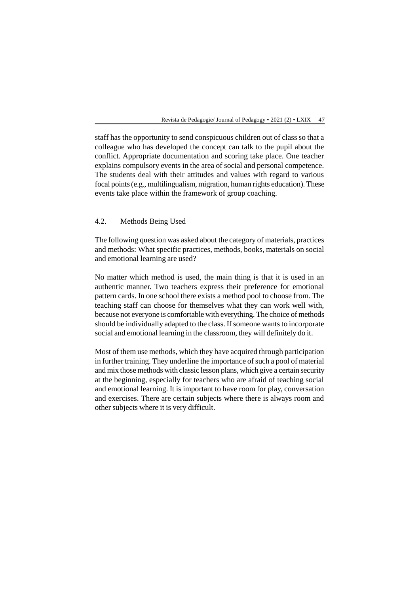staff has the opportunity to send conspicuous children out of class so that a colleague who has developed the concept can talk to the pupil about the conflict. Appropriate documentation and scoring take place. One teacher explains compulsory events in the area of social and personal competence. The students deal with their attitudes and values with regard to various focal points (e.g., multilingualism, migration, human rights education). These events take place within the framework of group coaching.

#### 4.2. Methods Being Used

The following question was asked about the category of materials, practices and methods: What specific practices, methods, books, materials on social and emotional learning are used?

No matter which method is used, the main thing is that it is used in an authentic manner. Two teachers express their preference for emotional pattern cards. In one school there exists a method pool to choose from. The teaching staff can choose for themselves what they can work well with, because not everyone is comfortable with everything. The choice of methods should be individually adapted to the class. If someone wants to incorporate social and emotional learning in the classroom, they will definitely do it.

Most of them use methods, which they have acquired through participation in further training. They underline the importance of such a pool of material and mix those methods with classic lesson plans, which give a certain security at the beginning, especially for teachers who are afraid of teaching social and emotional learning. It is important to have room for play, conversation and exercises. There are certain subjects where there is always room and other subjects where it is very difficult.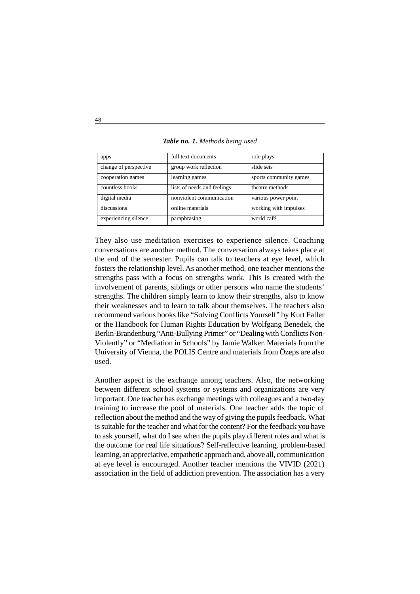| apps                  | full text documents         | role plays             |
|-----------------------|-----------------------------|------------------------|
| change of perspective | group work reflection       | slide sets             |
| cooperation games     | learning games              | sports community games |
| countless books       | lists of needs and feelings | theatre methods        |
| digital media         | nonviolent communication    | various power point    |
| discussions           | online materials            | working with impulses  |
| experiencing silence  | paraphrasing                | world café             |

*Table no. 1. Methods being used*

They also use meditation exercises to experience silence. Coaching conversations are another method. The conversation always takes place at the end of the semester. Pupils can talk to teachers at eye level, which fosters the relationship level. As another method, one teacher mentions the strengths pass with a focus on strengths work. This is created with the involvement of parents, siblings or other persons who name the students' strengths. The children simply learn to know their strengths, also to know their weaknesses and to learn to talk about themselves. The teachers also recommend various books like "Solving Conflicts Yourself" by Kurt Faller or the Handbook for Human Rights Education by Wolfgang Benedek, the Berlin-Brandenburg "Anti-Bullying Primer" or "Dealing with Conflicts Non-Violently" or "Mediation in Schools" by Jamie Walker. Materials from the University of Vienna, the POLIS Centre and materials from Özeps are also used.

Another aspect is the exchange among teachers. Also, the networking between different school systems or systems and organizations are very important. One teacher has exchange meetings with colleagues and a two-day training to increase the pool of materials. One teacher adds the topic of reflection about the method and the way of giving the pupils feedback. What is suitable for the teacher and what for the content? For the feedback you have to ask yourself, what do I see when the pupils play different roles and what is the outcome for real life situations? Self-reflective learning, problem-based learning, an appreciative, empathetic approach and, above all, communication at eye level is encouraged. Another teacher mentions the VIVID (2021) association in the field of addiction prevention. The association has a very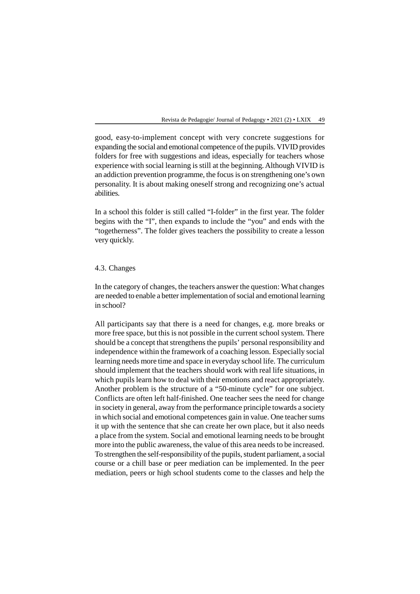good, easy-to-implement concept with very concrete suggestions for expanding the social and emotional competence of the pupils. VIVID provides folders for free with suggestions and ideas, especially for teachers whose experience with social learning is still at the beginning. Although VIVID is an addiction prevention programme, the focus is on strengthening one's own personality. It is about making oneself strong and recognizing one's actual abilities.

In a school this folder is still called "I-folder" in the first year. The folder begins with the "I", then expands to include the "you" and ends with the "togetherness". The folder gives teachers the possibility to create a lesson very quickly.

#### 4.3. Changes

In the category of changes, the teachers answer the question: What changes are needed to enable a better implementation of social and emotional learning in school?

All participants say that there is a need for changes, e.g. more breaks or more free space, but this is not possible in the current school system. There should be a concept that strengthens the pupils' personal responsibility and independence within the framework of a coaching lesson. Especially social learning needs more time and space in everyday school life. The curriculum should implement that the teachers should work with real life situations, in which pupils learn how to deal with their emotions and react appropriately. Another problem is the structure of a "50-minute cycle" for one subject. Conflicts are often left half-finished. One teacher sees the need for change in society in general, away from the performance principle towards a society in which social and emotional competences gain in value. One teacher sums it up with the sentence that she can create her own place, but it also needs a place from the system. Social and emotional learning needs to be brought more into the public awareness, the value of this area needs to be increased. To strengthen the self-responsibility of the pupils, student parliament, a social course or a chill base or peer mediation can be implemented. In the peer mediation, peers or high school students come to the classes and help the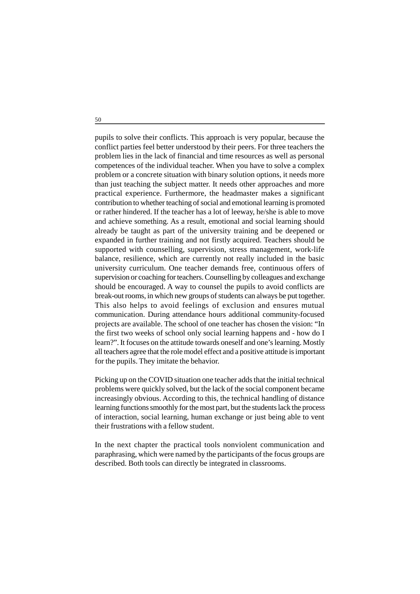pupils to solve their conflicts. This approach is very popular, because the conflict parties feel better understood by their peers. For three teachers the problem lies in the lack of financial and time resources as well as personal competences of the individual teacher. When you have to solve a complex problem or a concrete situation with binary solution options, it needs more than just teaching the subject matter. It needs other approaches and more practical experience. Furthermore, the headmaster makes a significant contribution to whether teaching of social and emotional learning is promoted or rather hindered. If the teacher has a lot of leeway, he/she is able to move and achieve something. As a result, emotional and social learning should already be taught as part of the university training and be deepened or expanded in further training and not firstly acquired. Teachers should be supported with counselling, supervision, stress management, work-life balance, resilience, which are currently not really included in the basic university curriculum. One teacher demands free, continuous offers of supervision or coaching for teachers. Counselling by colleagues and exchange should be encouraged. A way to counsel the pupils to avoid conflicts are break-out rooms, in which new groups of students can always be put together. This also helps to avoid feelings of exclusion and ensures mutual communication. During attendance hours additional community-focused projects are available. The school of one teacher has chosen the vision: "In the first two weeks of school only social learning happens and - how do I learn?". It focuses on the attitude towards oneself and one's learning. Mostly all teachers agree that the role model effect and a positive attitude is important for the pupils. They imitate the behavior.

Picking up on the COVID situation one teacher adds that the initial technical problems were quickly solved, but the lack of the social component became increasingly obvious. According to this, the technical handling of distance learning functions smoothly for the most part, but the students lack the process of interaction, social learning, human exchange or just being able to vent their frustrations with a fellow student.

In the next chapter the practical tools nonviolent communication and paraphrasing, which were named by the participants of the focus groups are described. Both tools can directly be integrated in classrooms.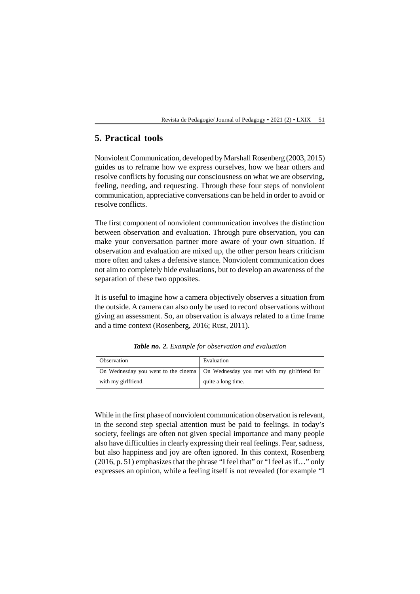## **5. Practical tools**

Nonviolent Communication, developed by Marshall Rosenberg (2003, 2015) guides us to reframe how we express ourselves, how we hear others and resolve conflicts by focusing our consciousness on what we are observing, feeling, needing, and requesting. Through these four steps of nonviolent communication, appreciative conversations can be held in order to avoid or resolve conflicts.

The first component of nonviolent communication involves the distinction between observation and evaluation. Through pure observation, you can make your conversation partner more aware of your own situation. If observation and evaluation are mixed up, the other person hears criticism more often and takes a defensive stance. Nonviolent communication does not aim to completely hide evaluations, but to develop an awareness of the separation of these two opposites.

It is useful to imagine how a camera objectively observes a situation from the outside. A camera can also only be used to record observations without giving an assessment. So, an observation is always related to a time frame and a time context (Rosenberg, 2016; Rust, 2011).

| Observation         | Evaluation                                                                        |
|---------------------|-----------------------------------------------------------------------------------|
|                     | On Wednesday you went to the cinema   On Wednesday you met with my girlfriend for |
| with my girlfriend. | quite a long time.                                                                |

*Table no. 2. Example for observation and evaluation*

While in the first phase of nonviolent communication observation is relevant, in the second step special attention must be paid to feelings. In today's society, feelings are often not given special importance and many people also have difficulties in clearly expressing their real feelings. Fear, sadness, but also happiness and joy are often ignored. In this context, Rosenberg (2016, p. 51) emphasizes that the phrase "I feel that" or "I feel as if…" only expresses an opinion, while a feeling itself is not revealed (for example "I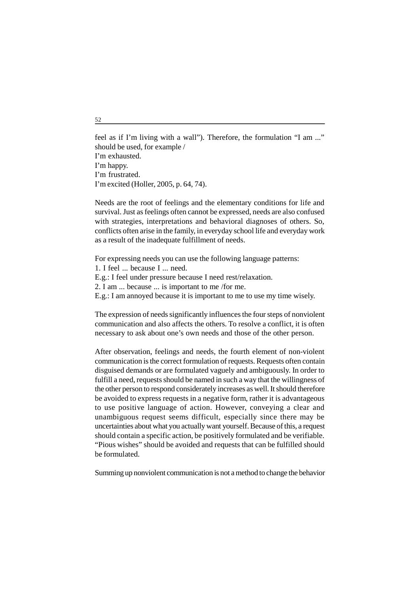feel as if I'm living with a wall"). Therefore, the formulation "I am ..." should be used, for example / I'm exhausted. I'm happy. I'm frustrated. I'm excited (Holler, 2005, p. 64, 74).

Needs are the root of feelings and the elementary conditions for life and survival. Just as feelings often cannot be expressed, needs are also confused with strategies, interpretations and behavioral diagnoses of others. So, conflicts often arise in the family, in everyday school life and everyday work as a result of the inadequate fulfillment of needs.

For expressing needs you can use the following language patterns:

1. I feel because I ... need.

E.g.: I feel under pressure because I need rest/relaxation.

2. I am ... because ... is important to me /for me.

E.g.: I am annoyed because it is important to me to use my time wisely.

The expression of needs significantly influences the four steps of nonviolent communication and also affects the others. To resolve a conflict, it is often necessary to ask about one's own needs and those of the other person.

After observation, feelings and needs, the fourth element of non-violent communication is the correct formulation of requests. Requests often contain disguised demands or are formulated vaguely and ambiguously. In order to fulfill a need, requests should be named in such a way that the willingness of the other person to respond considerately increases as well. It should therefore be avoided to express requests in a negative form, rather it is advantageous to use positive language of action. However, conveying a clear and unambiguous request seems difficult, especially since there may be uncertainties about what you actually want yourself. Because of this, a request should contain a specific action, be positively formulated and be verifiable. "Pious wishes" should be avoided and requests that can be fulfilled should be formulated.

Summing up nonviolent communication is not a method to change the behavior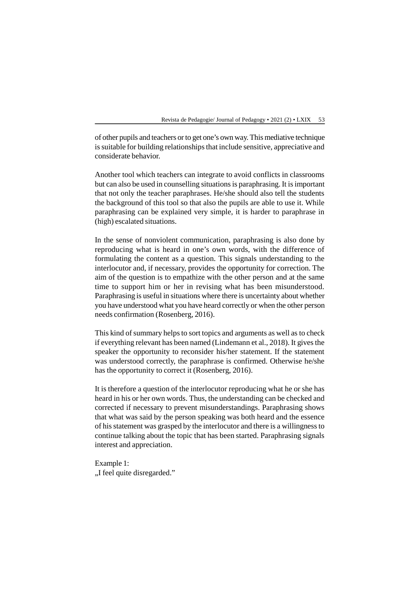of other pupils and teachers or to get one's own way. This mediative technique is suitable for building relationships that include sensitive, appreciative and considerate behavior.

Another tool which teachers can integrate to avoid conflicts in classrooms but can also be used in counselling situations is paraphrasing. It is important that not only the teacher paraphrases. He/she should also tell the students the background of this tool so that also the pupils are able to use it. While paraphrasing can be explained very simple, it is harder to paraphrase in (high) escalated situations.

In the sense of nonviolent communication, paraphrasing is also done by reproducing what is heard in one's own words, with the difference of formulating the content as a question. This signals understanding to the interlocutor and, if necessary, provides the opportunity for correction. The aim of the question is to empathize with the other person and at the same time to support him or her in revising what has been misunderstood. Paraphrasing is useful in situations where there is uncertainty about whether you have understood what you have heard correctly or when the other person needs confirmation (Rosenberg, 2016).

This kind of summary helps to sort topics and arguments as well as to check if everything relevant has been named (Lindemann et al., 2018). It gives the speaker the opportunity to reconsider his/her statement. If the statement was understood correctly, the paraphrase is confirmed. Otherwise he/she has the opportunity to correct it (Rosenberg, 2016).

It is therefore a question of the interlocutor reproducing what he or she has heard in his or her own words. Thus, the understanding can be checked and corrected if necessary to prevent misunderstandings. Paraphrasing shows that what was said by the person speaking was both heard and the essence of his statement was grasped by the interlocutor and there is a willingness to continue talking about the topic that has been started. Paraphrasing signals interest and appreciation.

Example 1: "I feel quite disregarded."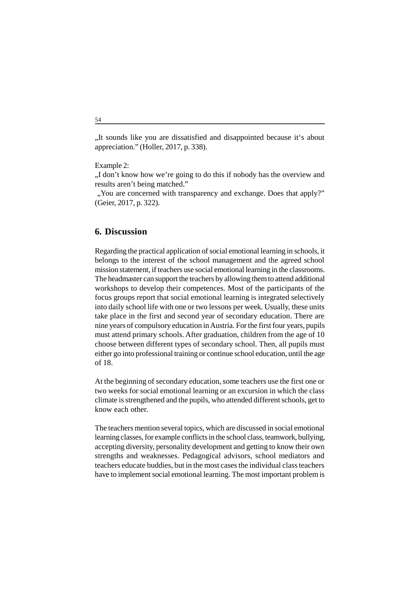"It sounds like you are dissatisfied and disappointed because it's about appreciation." (Holler, 2017, p. 338).

Example 2:

"I don't know how we're going to do this if nobody has the overview and results aren't being matched."

 "You are concerned with transparency and exchange. Does that apply?" (Geier, 2017, p. 322).

#### **6. Discussion**

Regarding the practical application of social emotional learning in schools, it belongs to the interest of the school management and the agreed school mission statement, if teachers use social emotional learning in the classrooms. The headmaster can support the teachers by allowing them to attend additional workshops to develop their competences. Most of the participants of the focus groups report that social emotional learning is integrated selectively into daily school life with one or two lessons per week. Usually, these units take place in the first and second year of secondary education. There are nine years of compulsory education in Austria. For the first four years, pupils must attend primary schools. After graduation, children from the age of 10 choose between different types of secondary school. Then, all pupils must either go into professional training or continue school education, until the age of 18.

At the beginning of secondary education, some teachers use the first one or two weeks for social emotional learning or an excursion in which the class climate is strengthened and the pupils, who attended different schools, get to know each other.

The teachers mention several topics, which are discussed in social emotional learning classes, for example conflicts in the school class, teamwork, bullying, accepting diversity, personality development and getting to know their own strengths and weaknesses. Pedagogical advisors, school mediators and teachers educate buddies, but in the most cases the individual class teachers have to implement social emotional learning. The most important problem is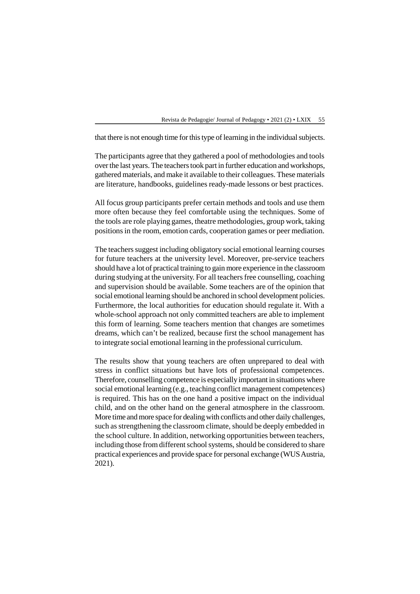that there is not enough time for this type of learning in the individual subjects.

The participants agree that they gathered a pool of methodologies and tools over the last years. The teachers took part in further education and workshops, gathered materials, and make it available to their colleagues. These materials are literature, handbooks, guidelines ready-made lessons or best practices.

All focus group participants prefer certain methods and tools and use them more often because they feel comfortable using the techniques. Some of the tools are role playing games, theatre methodologies, group work, taking positions in the room, emotion cards, cooperation games or peer mediation.

The teachers suggest including obligatory social emotional learning courses for future teachers at the university level. Moreover, pre-service teachers should have a lot of practical training to gain more experience in the classroom during studying at the university. For all teachers free counselling, coaching and supervision should be available. Some teachers are of the opinion that social emotional learning should be anchored in school development policies. Furthermore, the local authorities for education should regulate it. With a whole-school approach not only committed teachers are able to implement this form of learning. Some teachers mention that changes are sometimes dreams, which can't be realized, because first the school management has to integrate social emotional learning in the professional curriculum.

The results show that young teachers are often unprepared to deal with stress in conflict situations but have lots of professional competences. Therefore, counselling competence is especially important in situations where social emotional learning (e.g., teaching conflict management competences) is required. This has on the one hand a positive impact on the individual child, and on the other hand on the general atmosphere in the classroom. More time and more space for dealing with conflicts and other daily challenges, such as strengthening the classroom climate, should be deeply embedded in the school culture. In addition, networking opportunities between teachers, including those from different school systems, should be considered to share practical experiences and provide space for personal exchange (WUS Austria, 2021).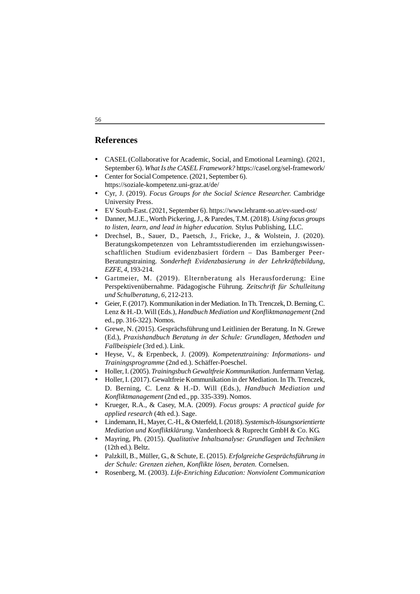#### **References**

- CASEL (Collaborative for Academic, Social, and Emotional Learning). (2021, September 6). *What Is the CASEL Framework?* https://casel.org/sel-framework/
- Center for Social Competence. (2021, September 6). https://soziale-kompetenz.uni-graz.at/de/
- Cyr, J. (2019). *Focus Groups for the Social Science Researcher.* Cambridge University Press.
- EV South-East. (2021, September 6). https://www.lehramt-so.at/ev-sued-ost/
- Danner, M.J.E., Worth Pickering, J., & Paredes, T.M. (2018). *Using focus groups to listen, learn, and lead in higher education.* Stylus Publishing, LLC.
- Drechsel, B., Sauer, D., Paetsch, J., Fricke, J., & Wolstein, J. (2020). Beratungskompetenzen von Lehramtsstudierenden im erziehungswissenschaftlichen Studium evidenzbasiert fördern – Das Bamberger Peer-Beratungstraining. *Sonderheft Evidenzbasierung in der Lehrkräftebildung*, *EZFE*, *4*, 193-214.
- Gartmeier, M. (2019). Elternberatung als Herausforderung: Eine Perspektivenübernahme. Pädagogische Führung. *Zeitschrift für Schulleitung und Schulberatung*, *6*, 212-213.
- Geier, F. (2017). Kommunikation in der Mediation. In Th. Trenczek, D. Berning, C. Lenz & H.-D. Will (Eds.), *Handbuch Mediation und Konfliktmanagement* (2nd ed., pp. 316-322). Nomos.
- Grewe, N. (2015). Gesprächsführung und Leitlinien der Beratung. In N. Grewe (Ed.), *Praxishandbuch Beratung in der Schule: Grundlagen, Methoden und Fallbeispiele* (3rd ed.). Link.
- Heyse, V., & Erpenbeck, J. (2009). *Kompetenztraining: Informations- und Trainingsprogramme* (2nd ed.). Schäffer-Poeschel.
- Holler, I. (2005). *Trainingsbuch Gewaltfreie Kommunikation*. Junfermann Verlag.
- Holler, I. (2017). Gewaltfreie Kommunikation in der Mediation. In Th. Trenczek, D. Berning, C. Lenz & H.-D. Will (Eds.), *Handbuch Mediation und Konfliktmanagement* (2nd ed., pp. 335-339). Nomos.
- Krueger, R.A., & Casey, M.A. (2009). *Focus groups: A practical guide for applied research* (4th ed.). Sage.
- Lindemann, H., Mayer, C.-H., & Osterfeld, I. (2018). *Systemisch-lösungsorientierte Mediation und Konfliktklärung*. Vandenhoeck & Ruprecht GmbH & Co. KG.
- Mayring, Ph. (2015). *Qualitative Inhaltsanalyse: Grundlagen und Techniken* (12th ed.). Beltz.
- Palzkill, B., Müller, G., & Schute, E. (2015). *Erfolgreiche Gesprächsführung in der Schule: Grenzen ziehen, Konflikte lösen, beraten.* Cornelsen.
- Rosenberg, M. (2003). *Life-Enriching Education: Nonviolent Communication*